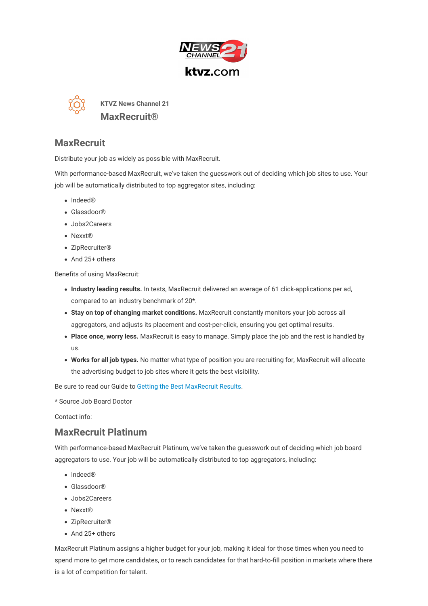



**KTVZ News Channel 21 MaxRecruit®**

## **MaxRecruit**

Distribute your job as widely as possible with MaxRecruit.

With performance-based MaxRecruit, we've taken the guesswork out of deciding which job sites to use. Your job will be automatically distributed to top aggregator sites, including:

- Indeed®
- Glassdoor®
- Jobs2Careers
- Nexxt®
- ZipRecruiter®
- And 25+ others

Benefits of using MaxRecruit:

- **Industry leading results.** In tests, MaxRecruit delivered an average of 61 click-applications per ad, compared to an industry benchmark of 20\*.
- **Stay on top of changing market conditions.** MaxRecruit constantly monitors your job across all aggregators, and adjusts its placement and cost-per-click, ensuring you get optimal results.
- **Place once, worry less.** MaxRecruit is easy to manage. Simply place the job and the rest is handled by us.
- **Works for all job types.** No matter what type of position you are recruiting for, MaxRecruit will allocate the advertising budget to job sites where it gets the best visibility.

Be sure to read our Guide to Getting the Best [MaxRecruit](https://hiring.ktvz.com/recruitmentproducts/ktvz/maxrecruit/pdf?host_domain=hiring.ktvz.com&page=maxrecruit-guide) Results.

\* Source Job Board Doctor

Contact info:

## **MaxRecruit Platinum**

With performance-based MaxRecruit Platinum, we've taken the guesswork out of deciding which job board aggregators to use. Your job will be automatically distributed to top aggregators, including:

- Indeed®
- Glassdoor®
- Jobs2Careers
- Nexxt®
- ZipRecruiter®
- And 25+ others

MaxRecruit Platinum assigns a higher budget for your job, making it ideal for those times when you need to spend more to get more candidates, or to reach candidates for that hard-to-fill position in markets where there is a lot of competition for talent.